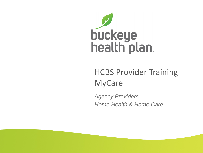

# HCBS Provider Training MyCare

*Agency Providers Home Health & Home Care*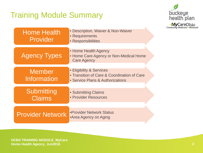# Training Module Summary



| <b>Home Health</b><br>Provider | · Description, Waiver & Non-Waiver<br>• Requirements<br>• Responsibilities                                  |  |
|--------------------------------|-------------------------------------------------------------------------------------------------------------|--|
| <b>Agency Types</b>            | • Home Health Agency<br>• Home Care Agency or Non-Medical Home<br><b>Care Agency</b>                        |  |
| <b>Member</b><br>Information   | • Eligibility & Services<br>• Transition of Care & Coordination of Care<br>• Service Plans & Authorizations |  |
| Submitting<br><b>Claims</b>    | • Submitting Claims<br>• Provider Resources                                                                 |  |
| <b>Provider Network</b>        | •Provider Network Status<br>•Area Agency on Aging                                                           |  |

**HCBS TRAINING MODULE\_MyCare Home Health Agency\_Jun2016 2**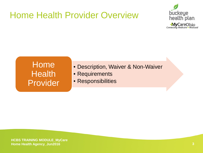# Home Health Provider Overview



#### Home **Health** Provider

- Description, Waiver & Non-Waiver
- Requirements
- Responsibilities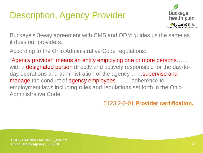# Description, Agency Provider



Buckeye's 3-way agreement with CMS and ODM guides us the same as it does our providers.

According to the Ohio Administrative Code regulations:

"Agency provider" means an entity employing one or more persons…… with a designated person directly and actively responsible for the day-today operations and administration of the agency ......supervise and manage the conduct of agency employees ....... adherence to employment laws including rules and regulations set forth in the Ohio Administrative Code.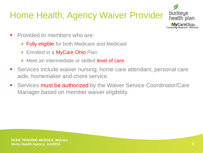# Home Health, Agency Waiver Provider



- **Provided to members who are:** 
	- **Fully eligible** for both Medicare and Medicaid
	- Enrolled in a MyCare Ohio Plan  $\mathscr{D}$
	- Meet an intermediate or skilled **level of care**  $\mathcal{D}$
- **Services include waiver nursing, home care attendant, personal care** aide, homemaker and chore service.
- **Services must be authorized** by the Waiver Service Coordinator/Care Manager based on member waiver eligibility.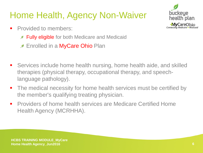# Home Health, Agency Non-Waiver

buckeue health plan. **MyCareOhio**<br>Connecting Medicare + Medicaid

- **Provided to members:** 
	- **Fully eligible** for both Medicare and Medicaid
	- **Enrolled in a MyCare Ohio Plan**
- Services include home health nursing, home health aide, and skilled therapies (physical therapy, occupational therapy, and speechlanguage pathology).
- The medical necessity for home health services must be certified by the member's qualifying treating physician.
- **Providers of home health services are Medicare Certified Home** Health Agency (MCRHHA).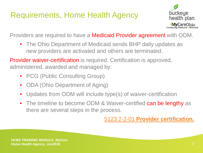## Requirements, Home Health Agency



Providers are required to have a Medicaid Provider agreement with ODM.

• The Ohio Department of Medicaid sends BHP daily updates as new providers are activated and others are terminated.

Provider waiver-certification is required. Certification is approved, administered, awarded and managed by:

- PCG (Public Consulting Group)
- ODA (Ohio Department of Aging)
- Updates from ODM will include type(s) of waiver-certification
- The timeline to become ODM & Waiver-certified can be lengthy as there are several steps in the process.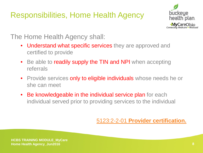## Responsibilities, Home Health Agency



#### The Home Health Agency shall:

- Understand what specific services they are approved and certified to provide
- Be able to readily supply the TIN and NPI when accepting referrals
- Provide services only to eligible individuals whose needs he or she can meet
- Be knowledgeable in the individual service plan for each individual served prior to providing services to the individual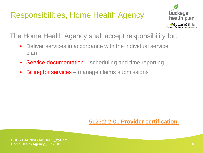### Responsibilities, Home Health Agency



The Home Health Agency shall accept responsibility for:

- Deliver services in accordance with the individual service plan
- Service documentation scheduling and time reporting
- **Billing for services** manage claims submissions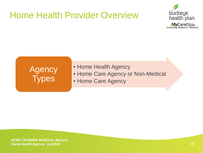# Home Health Provider Overview



# Agency Types

- Home Health Agency
- Home Care Agency or Non-Medical
- Home Care Agency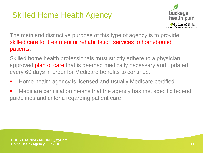# Skilled Home Health Agency



The main and distinctive purpose of this type of agency is to provide skilled care for treatment or rehabilitation services to homebound patients.

Skilled home health professionals must strictly adhere to a physician approved plan of care that is deemed medically necessary and updated every 60 days in order for Medicare benefits to continue.

- Home health agency is licensed and usually Medicare certified
- **Medicare certification means that the agency has met specific federal** guidelines and criteria regarding patient care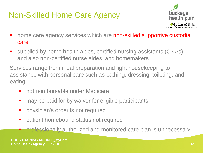# Non-Skilled Home Care Agency



- home care agency services which are non-skilled supportive custodial care
- supplied by home health aides, certified nursing assistants (CNAs) and also non-certified nurse aides, and homemakers

Services range from meal preparation and light housekeeping to assistance with personal care such as bathing, dressing, toileting, and eating:

- not reimbursable under Medicare
- may be paid for by waiver for eligible participants
- physician's order is not required
- **Patient homebound status not required**

professionally authorized and monitored care plan is unnecessary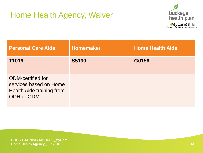## Home Health Agency, Waiver



| <b>Personal Care Aide</b>                                                                     | <b>Homemaker</b> | <b>Home Health Aide</b> |
|-----------------------------------------------------------------------------------------------|------------------|-------------------------|
| T1019                                                                                         | <b>S5130</b>     | G0156                   |
| <b>ODM-certified for</b><br>services based on Home<br>Health Aide training from<br>ODH or ODM |                  |                         |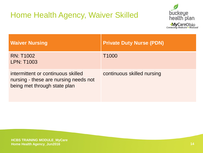# Home Health Agency, Waiver Skilled



| <b>Waiver Nursing</b>                                                                                       | <b>Private Duty Nurse (PDN)</b> |
|-------------------------------------------------------------------------------------------------------------|---------------------------------|
| <b>RN: T1002</b><br><b>LPN: T1003</b>                                                                       | T <sub>1000</sub>               |
| intermittent or continuous skilled<br>nursing - these are nursing needs not<br>being met through state plan | continuous skilled nursing      |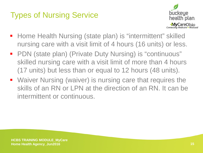# Types of Nursing Service



- Home Health Nursing (state plan) is "intermittent" skilled nursing care with a visit limit of 4 hours (16 units) or less.
- PDN (state plan) (Private Duty Nursing) is "continuous" skilled nursing care with a visit limit of more than 4 hours (17 units) but less than or equal to 12 hours (48 units).
- **Waiver Nursing (waiver) is nursing care that requires the** skills of an RN or LPN at the direction of an RN. It can be intermittent or continuous.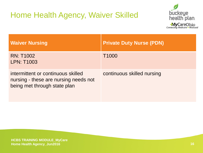# Home Health Agency, Waiver Skilled



| <b>Waiver Nursing</b>                                                                                       | <b>Private Duty Nurse (PDN)</b> |
|-------------------------------------------------------------------------------------------------------------|---------------------------------|
| <b>RN: T1002</b><br><b>LPN: T1003</b>                                                                       | T <sub>1000</sub>               |
| intermittent or continuous skilled<br>nursing - these are nursing needs not<br>being met through state plan | continuous skilled nursing      |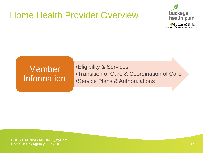# Home Health Provider Overview



## **Member Information**

•Eligibility & Services •Transition of Care & Coordination of Care •Service Plans & Authorizations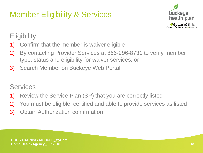# Member Eligibility & Services



#### **Eligibility**

- 1) Confirm that the member is waiver eligible
- 2) By contacting Provider Services at 866-296-8731 to verify member type, status and eligibility for waiver services, or
- 3) Search Member on Buckeye Web Portal

#### **Services**

- 1) Review the Service Plan (SP) that you are correctly listed
- 2) You must be eligible, certified and able to provide services as listed
- 3) Obtain Authorization confirmation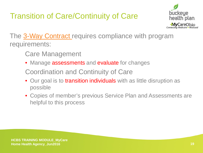# Transition of Care/Continuity of Care



The [3-Way Contract](http://medicaid.ohio.gov/Portals/0/Providers/ProviderTypes/Managed%20Care/ICDS/3-WayContract.pdf) requires compliance with program requirements:

- Care Management
- Manage assessments and evaluate for changes
- Coordination and Continuity of Care
- Our goal is to transition individuals with as little disruption as possible
- Copies of member's previous Service Plan and Assessments are helpful to this process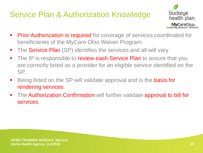#### Service Plan & Authorization Knowledge



- **Prior Authorization is required** for coverage of services coordinated for beneficiaries of the MyCare Ohio Waiver Program.
- The **Service Plan** (SP) identifies the services and all will vary
- The IP is responsible to review each Service Plan to assure that you are correctly listed as a provider for an eligible service identified on the SP.
- Being listed on the SP will validate approval and is the **basis for** rendering services.
- The Authorization Confirmation will further validate approval to bill for services.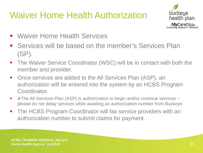# Waiver Home Health Authorization



- Waiver Home Health Services
- **Services will be based on the member's Services Plan** (SP).
- The Waiver Service Coordinator (WSC) will be in contact with both the member and provider.
- Once services are added to the All Services Plan (ASP), an authorization will be entered into the system by an HCBS Program Coordinator.
- $\blacktriangleright$  The All Services Plan (ASP) is authorization to begin and/or continue services please do not delay services while awaiting an authorization number from Buckeye .
- The HCBS Program Coordinator will fax service providers with an authorization number to submit claims for payment.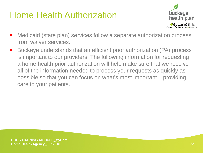# Home Health Authorization



- Medicaid (state plan) services follow a separate authorization process from waiver services.
- Buckeye understands that an efficient prior authorization (PA) process is important to our providers. The following information for requesting a home health prior authorization will help make sure that we receive all of the information needed to process your requests as quickly as possible so that you can focus on what's most important – providing care to your patients.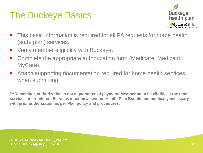# The Buckeye Basics



- This basic information is required for all PA requests for home health (state plan) services.
- **Verify member eligibility with Buckeye.**
- Complete the appropriate authorization form (Medicare, Medicaid, MyCare).
- Attach supporting documentation required for home health services when submitting.

**\*\*\*Remember, authorization is not a guarantee of payment. Member must be eligible at the time services are rendered. Services must be a covered Health Plan Benefit and medically necessary with prior authorization as per Plan policy and procedures.**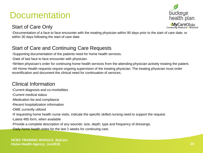# **Documentation**

#### Start of Care Only



•Documentation of a face to face encounter with the treating physician within 90 days prior to the start of care date, or within 30 days following the start of care date.

#### Start of Care and Continuing Care Requests

•Supporting documentation of the patients need for home health services.

•Date of last face to face encounter with physician.

•Written physician's order for continuing home health services from the attending physician actively treating the patient. •All Home Health requests require ongoing supervision of the treating physician. The treating physician must order recertification and document the clinical need for continuation of services.

#### Clinical Information

•Current diagnosis and co-morbidities

•Current medical status

•Medication list and compliance

•Recent hospitalization information

•DME currently utilized

•If requesting home health nurse visits, indicate the specific skilled nursing need to support the request.

•Latest 485 form, when available

•Provide a complete description of any wounds: size, depth, type and frequency of dressings.

•Daily home health notes for the last 2 weeks for continuing care.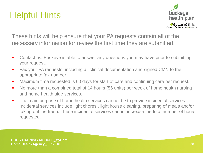# Helpful Hints



These hints will help ensure that your PA requests contain all of the necessary information for review the first time they are submitted.

- Contact us. Buckeye is able to answer any questions you may have prior to submitting your request.
- Fax your PA requests, including all clinical documentation and signed CMN to the appropriate fax number.
- **Maximum time requested is 60 days for start of care and continuing care per request.**
- No more than a combined total of 14 hours (56 units) per week of home health nursing and home health aide services.
- The main purpose of home health services cannot be to provide incidental services. Incidental services include light chores , light house cleaning, preparing of meals and/or taking out the trash. These incidental services cannot increase the total number of hours requested.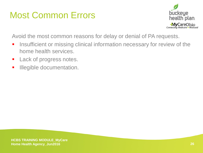# Most Common Errors



Avoid the most common reasons for delay or denial of PA requests.

- **Insufficient or missing clinical information necessary for review of the** home health services.
- **Lack of progress notes.**
- **Illegible documentation.**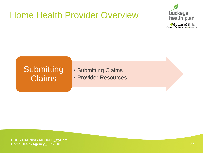# Home Health Provider Overview



#### **Submitting Claims**

• Submitting Claims • Provider Resources

**HCBS TRAINING MODULE\_MyCare Home Health Agency\_Jun2016 27**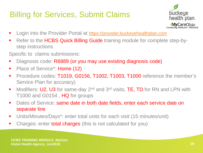# Billing for Services, Submit Claims



- **Login into the Provider Portal at [https://provider.buckeyehealthplan.com](https://provider.buckeyehealthplan.com/)**
- Refer to the HCBS Quick Billing Guide training module for complete step-bystep instructions
- Specific to claims submissions:
- Diagnosis code: R6889 (or you may use existing diagnosis code)
- Place of Service<sup>\*</sup>: **Home (12)**
- Procedure codes: T1019, G0156, T1002, T1003, T1000 reference the member's Service Plan for accuracy)
- Modifiers: U2, U3 for same-day 2<sup>nd</sup> and 3<sup>rd</sup> visits, TE, TD for RN and LPN with T1000 and G0154, HQ for groups
- Dates of Service: same date in both date fields, enter each service date on separate line
- Units/Minutes/Days\*: enter total units for each visit (15 minutes/unit)
- Charges: enter **total charges** (this is not calculated for you)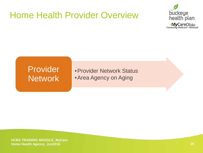# Home Health Provider Overview



#### Provider Network

•Provider Network Status •Area Agency on Aging

**HCBS TRAINING MODULE\_MyCare Home Health Agency\_Jun2016 29**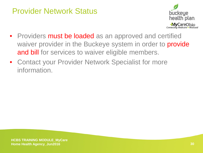#### Provider Network Status



- Providers must be loaded as an approved and certified waiver provider in the Buckeye system in order to **provide** and bill for services to waiver eligible members.
- Contact your Provider Network Specialist for more information.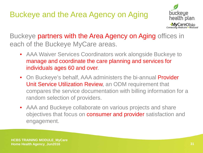## Buckeye and the Area Agency on Aging



Buckeye partners with the Area Agency on Aging offices in each of the Buckeye MyCare areas.

- AAA Waiver Services Coordinators work alongside Buckeye to manage and coordinate the care planning and services for individuals ages 60 and over.
- On Buckeye's behalf, AAA administers the bi-annual **Provider** Unit Service Utilization Review, an ODM requirement that compares the service documentation with billing information for a random selection of providers.
- AAA and Buckeye collaborate on various projects and share objectives that focus on **consumer and provider** satisfaction and engagement.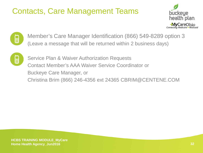# Contacts, Care Management Teams





Member's Care Manager Identification (866) 549-8289 option 3 (Leave a message that will be returned within 2 business days)



Service Plan & Waiver Authorization Requests Contact Member's AAA Waiver Service Coordinator or Buckeye Care Manager, or Christina Brim (866) 246-4356 ext 24365 CBRIM@CENTENE.COM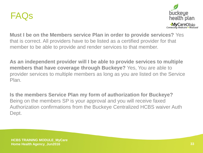



**Must I be on the Members service Plan in order to provide services?** Yes that is correct. All providers have to be listed as a certified provider for that member to be able to provide and render services to that member.

**As an independent provider will I be able to provide services to multiple members that have coverage through Buckeye?** Yes, You are able to provider services to multiple members as long as you are listed on the Service Plan.

**Is the members Service Plan my form of authorization for Buckeye?**  Being on the members SP is your approval and you will receive faxed Authorization confirmations from the Buckeye Centralized HCBS waiver Auth Dept.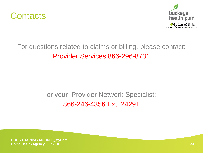



#### For questions related to claims or billing, please contact: Provider Services 866-296-8731

#### or your Provider Network Specialist: 866-246-4356 Ext. 24291

**HCBS TRAINING MODULE MyCare Home Health Agency\_Jun2016**